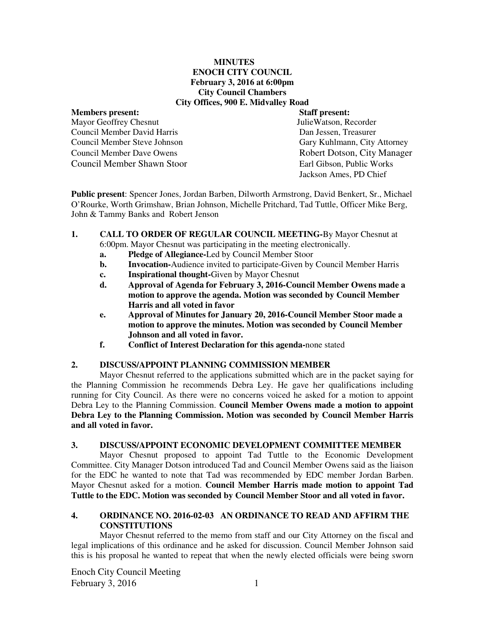#### **MINUTES ENOCH CITY COUNCIL February 3, 2016 at 6:00pm City Council Chambers City Offices, 900 E. Midvalley Road**

Mayor Geoffrey Chesnut Council Member David Harris Dan Jessen, Treasurer Council Member Steve Johnson Gary Kuhlmann, City Attorney Council Member Shawn Stoor Earl Gibson, Public Works

# **Members present:** Staff present: Staff present: Staff present: Staff present: Staff present: Staff present: Staff present: Staff present: Staff present: Staff present: Staff present: Staff present: Staff present: Staff pr Council Member Dave Owens **Robert Dotson, City Manager** Jackson Ames, PD Chief

**Public present**: Spencer Jones, Jordan Barben, Dilworth Armstrong, David Benkert, Sr., Michael O'Rourke, Worth Grimshaw, Brian Johnson, Michelle Pritchard, Tad Tuttle, Officer Mike Berg, John & Tammy Banks and Robert Jenson

- **1. CALL TO ORDER OF REGULAR COUNCIL MEETING-**By Mayor Chesnut at 6:00pm. Mayor Chesnut was participating in the meeting electronically.
	- **a. Pledge of Allegiance-**Led by Council Member Stoor
	- **b.** Invocation-Audience invited to participate-Given by Council Member Harris
	- **c. Inspirational thought-**Given by Mayor Chesnut
	- **d. Approval of Agenda for February 3, 2016-Council Member Owens made a motion to approve the agenda. Motion was seconded by Council Member Harris and all voted in favor**
	- **e. Approval of Minutes for January 20, 2016-Council Member Stoor made a motion to approve the minutes. Motion was seconded by Council Member Johnson and all voted in favor.**
	- **f. Conflict of Interest Declaration for this agenda-**none stated

# **2. DISCUSS/APPOINT PLANNING COMMISSION MEMBER**

Mayor Chesnut referred to the applications submitted which are in the packet saying for the Planning Commission he recommends Debra Ley. He gave her qualifications including running for City Council. As there were no concerns voiced he asked for a motion to appoint Debra Ley to the Planning Commission. **Council Member Owens made a motion to appoint Debra Ley to the Planning Commission. Motion was seconded by Council Member Harris and all voted in favor.** 

## **3. DISCUSS/APPOINT ECONOMIC DEVELOPMENT COMMITTEE MEMBER**

Mayor Chesnut proposed to appoint Tad Tuttle to the Economic Development Committee. City Manager Dotson introduced Tad and Council Member Owens said as the liaison for the EDC he wanted to note that Tad was recommended by EDC member Jordan Barben. Mayor Chesnut asked for a motion. **Council Member Harris made motion to appoint Tad Tuttle to the EDC. Motion was seconded by Council Member Stoor and all voted in favor.** 

## **4. ORDINANCE NO. 2016-02-03 AN ORDINANCE TO READ AND AFFIRM THE CONSTITUTIONS**

Mayor Chesnut referred to the memo from staff and our City Attorney on the fiscal and legal implications of this ordinance and he asked for discussion. Council Member Johnson said this is his proposal he wanted to repeat that when the newly elected officials were being sworn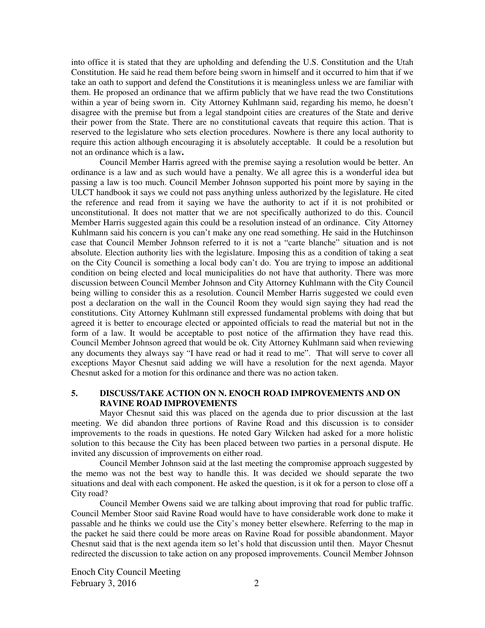into office it is stated that they are upholding and defending the U.S. Constitution and the Utah Constitution. He said he read them before being sworn in himself and it occurred to him that if we take an oath to support and defend the Constitutions it is meaningless unless we are familiar with them. He proposed an ordinance that we affirm publicly that we have read the two Constitutions within a year of being sworn in.City Attorney Kuhlmann said, regarding his memo, he doesn't disagree with the premise but from a legal standpoint cities are creatures of the State and derive their power from the State. There are no constitutional caveats that require this action. That is reserved to the legislature who sets election procedures. Nowhere is there any local authority to require this action although encouraging it is absolutely acceptable. It could be a resolution but not an ordinance which is a law**.** 

Council Member Harris agreed with the premise saying a resolution would be better. An ordinance is a law and as such would have a penalty. We all agree this is a wonderful idea but passing a law is too much. Council Member Johnson supported his point more by saying in the ULCT handbook it says we could not pass anything unless authorized by the legislature. He cited the reference and read from it saying we have the authority to act if it is not prohibited or unconstitutional. It does not matter that we are not specifically authorized to do this. Council Member Harris suggested again this could be a resolution instead of an ordinance. City Attorney Kuhlmann said his concern is you can't make any one read something. He said in the Hutchinson case that Council Member Johnson referred to it is not a "carte blanche" situation and is not absolute. Election authority lies with the legislature. Imposing this as a condition of taking a seat on the City Council is something a local body can't do. You are trying to impose an additional condition on being elected and local municipalities do not have that authority. There was more discussion between Council Member Johnson and City Attorney Kuhlmann with the City Council being willing to consider this as a resolution. Council Member Harris suggested we could even post a declaration on the wall in the Council Room they would sign saying they had read the constitutions. City Attorney Kuhlmann still expressed fundamental problems with doing that but agreed it is better to encourage elected or appointed officials to read the material but not in the form of a law. It would be acceptable to post notice of the affirmation they have read this. Council Member Johnson agreed that would be ok. City Attorney Kuhlmann said when reviewing any documents they always say "I have read or had it read to me". That will serve to cover all exceptions Mayor Chesnut said adding we will have a resolution for the next agenda. Mayor Chesnut asked for a motion for this ordinance and there was no action taken.

# **5. DISCUSS/TAKE ACTION ON N. ENOCH ROAD IMPROVEMENTS AND ON RAVINE ROAD IMPROVEMENTS**

Mayor Chesnut said this was placed on the agenda due to prior discussion at the last meeting. We did abandon three portions of Ravine Road and this discussion is to consider improvements to the roads in questions. He noted Gary Wilcken had asked for a more holistic solution to this because the City has been placed between two parties in a personal dispute. He invited any discussion of improvements on either road.

Council Member Johnson said at the last meeting the compromise approach suggested by the memo was not the best way to handle this. It was decided we should separate the two situations and deal with each component. He asked the question, is it ok for a person to close off a City road?

Council Member Owens said we are talking about improving that road for public traffic. Council Member Stoor said Ravine Road would have to have considerable work done to make it passable and he thinks we could use the City's money better elsewhere. Referring to the map in the packet he said there could be more areas on Ravine Road for possible abandonment. Mayor Chesnut said that is the next agenda item so let's hold that discussion until then. Mayor Chesnut redirected the discussion to take action on any proposed improvements. Council Member Johnson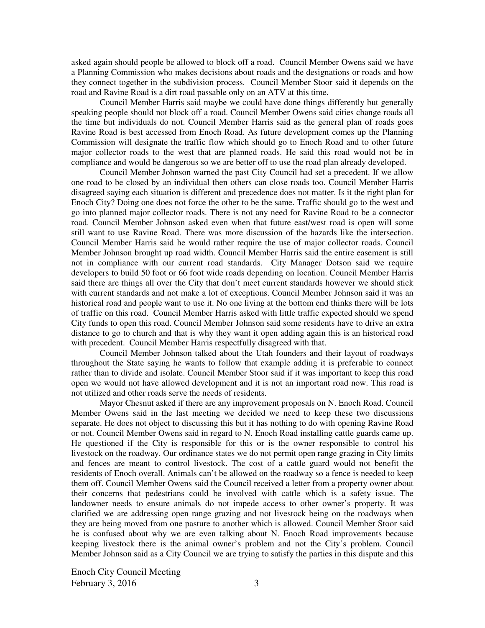asked again should people be allowed to block off a road. Council Member Owens said we have a Planning Commission who makes decisions about roads and the designations or roads and how they connect together in the subdivision process. Council Member Stoor said it depends on the road and Ravine Road is a dirt road passable only on an ATV at this time.

Council Member Harris said maybe we could have done things differently but generally speaking people should not block off a road. Council Member Owens said cities change roads all the time but individuals do not. Council Member Harris said as the general plan of roads goes Ravine Road is best accessed from Enoch Road. As future development comes up the Planning Commission will designate the traffic flow which should go to Enoch Road and to other future major collector roads to the west that are planned roads. He said this road would not be in compliance and would be dangerous so we are better off to use the road plan already developed.

Council Member Johnson warned the past City Council had set a precedent. If we allow one road to be closed by an individual then others can close roads too. Council Member Harris disagreed saying each situation is different and precedence does not matter. Is it the right plan for Enoch City? Doing one does not force the other to be the same. Traffic should go to the west and go into planned major collector roads. There is not any need for Ravine Road to be a connector road. Council Member Johnson asked even when that future east/west road is open will some still want to use Ravine Road. There was more discussion of the hazards like the intersection. Council Member Harris said he would rather require the use of major collector roads. Council Member Johnson brought up road width. Council Member Harris said the entire easement is still not in compliance with our current road standards. City Manager Dotson said we require developers to build 50 foot or 66 foot wide roads depending on location. Council Member Harris said there are things all over the City that don't meet current standards however we should stick with current standards and not make a lot of exceptions. Council Member Johnson said it was an historical road and people want to use it. No one living at the bottom end thinks there will be lots of traffic on this road. Council Member Harris asked with little traffic expected should we spend City funds to open this road. Council Member Johnson said some residents have to drive an extra distance to go to church and that is why they want it open adding again this is an historical road with precedent. Council Member Harris respectfully disagreed with that.

Council Member Johnson talked about the Utah founders and their layout of roadways throughout the State saying he wants to follow that example adding it is preferable to connect rather than to divide and isolate. Council Member Stoor said if it was important to keep this road open we would not have allowed development and it is not an important road now. This road is not utilized and other roads serve the needs of residents.

Mayor Chesnut asked if there are any improvement proposals on N. Enoch Road. Council Member Owens said in the last meeting we decided we need to keep these two discussions separate. He does not object to discussing this but it has nothing to do with opening Ravine Road or not. Council Member Owens said in regard to N. Enoch Road installing cattle guards came up. He questioned if the City is responsible for this or is the owner responsible to control his livestock on the roadway. Our ordinance states we do not permit open range grazing in City limits and fences are meant to control livestock. The cost of a cattle guard would not benefit the residents of Enoch overall. Animals can't be allowed on the roadway so a fence is needed to keep them off. Council Member Owens said the Council received a letter from a property owner about their concerns that pedestrians could be involved with cattle which is a safety issue. The landowner needs to ensure animals do not impede access to other owner's property. It was clarified we are addressing open range grazing and not livestock being on the roadways when they are being moved from one pasture to another which is allowed. Council Member Stoor said he is confused about why we are even talking about N. Enoch Road improvements because keeping livestock there is the animal owner's problem and not the City's problem. Council Member Johnson said as a City Council we are trying to satisfy the parties in this dispute and this

Enoch City Council Meeting February 3, 2016  $\overline{3}$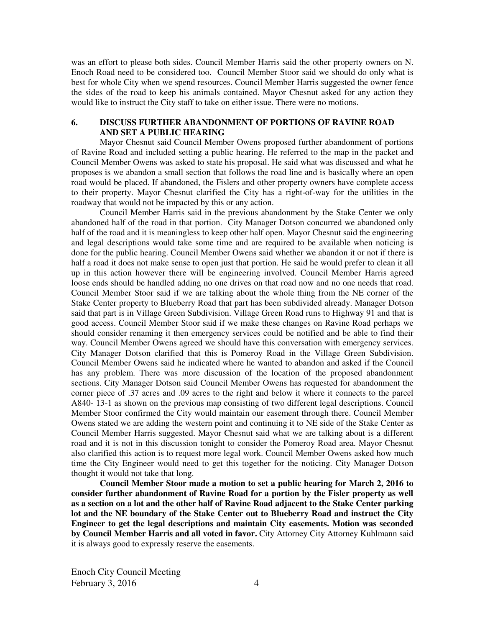was an effort to please both sides. Council Member Harris said the other property owners on N. Enoch Road need to be considered too. Council Member Stoor said we should do only what is best for whole City when we spend resources. Council Member Harris suggested the owner fence the sides of the road to keep his animals contained. Mayor Chesnut asked for any action they would like to instruct the City staff to take on either issue. There were no motions.

## **6. DISCUSS FURTHER ABANDONMENT OF PORTIONS OF RAVINE ROAD AND SET A PUBLIC HEARING**

Mayor Chesnut said Council Member Owens proposed further abandonment of portions of Ravine Road and included setting a public hearing. He referred to the map in the packet and Council Member Owens was asked to state his proposal. He said what was discussed and what he proposes is we abandon a small section that follows the road line and is basically where an open road would be placed. If abandoned, the Fislers and other property owners have complete access to their property. Mayor Chesnut clarified the City has a right-of-way for the utilities in the roadway that would not be impacted by this or any action.

Council Member Harris said in the previous abandonment by the Stake Center we only abandoned half of the road in that portion. City Manager Dotson concurred we abandoned only half of the road and it is meaningless to keep other half open. Mayor Chesnut said the engineering and legal descriptions would take some time and are required to be available when noticing is done for the public hearing. Council Member Owens said whether we abandon it or not if there is half a road it does not make sense to open just that portion. He said he would prefer to clean it all up in this action however there will be engineering involved. Council Member Harris agreed loose ends should be handled adding no one drives on that road now and no one needs that road. Council Member Stoor said if we are talking about the whole thing from the NE corner of the Stake Center property to Blueberry Road that part has been subdivided already. Manager Dotson said that part is in Village Green Subdivision. Village Green Road runs to Highway 91 and that is good access. Council Member Stoor said if we make these changes on Ravine Road perhaps we should consider renaming it then emergency services could be notified and be able to find their way. Council Member Owens agreed we should have this conversation with emergency services. City Manager Dotson clarified that this is Pomeroy Road in the Village Green Subdivision. Council Member Owens said he indicated where he wanted to abandon and asked if the Council has any problem. There was more discussion of the location of the proposed abandonment sections. City Manager Dotson said Council Member Owens has requested for abandonment the corner piece of .37 acres and .09 acres to the right and below it where it connects to the parcel A840- 13-1 as shown on the previous map consisting of two different legal descriptions. Council Member Stoor confirmed the City would maintain our easement through there. Council Member Owens stated we are adding the western point and continuing it to NE side of the Stake Center as Council Member Harris suggested. Mayor Chesnut said what we are talking about is a different road and it is not in this discussion tonight to consider the Pomeroy Road area. Mayor Chesnut also clarified this action is to request more legal work. Council Member Owens asked how much time the City Engineer would need to get this together for the noticing. City Manager Dotson thought it would not take that long.

**Council Member Stoor made a motion to set a public hearing for March 2, 2016 to consider further abandonment of Ravine Road for a portion by the Fisler property as well as a section on a lot and the other half of Ravine Road adjacent to the Stake Center parking lot and the NE boundary of the Stake Center out to Blueberry Road and instruct the City Engineer to get the legal descriptions and maintain City easements. Motion was seconded by Council Member Harris and all voted in favor.** City Attorney City Attorney Kuhlmann said it is always good to expressly reserve the easements.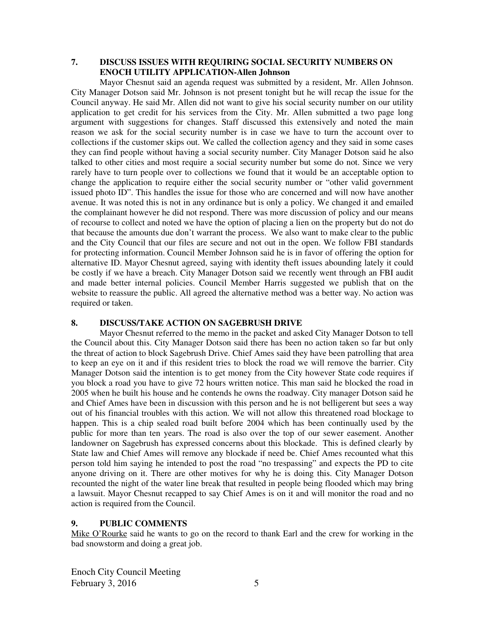# **7. DISCUSS ISSUES WITH REQUIRING SOCIAL SECURITY NUMBERS ON ENOCH UTILITY APPLICATION-Allen Johnson**

Mayor Chesnut said an agenda request was submitted by a resident, Mr. Allen Johnson. City Manager Dotson said Mr. Johnson is not present tonight but he will recap the issue for the Council anyway. He said Mr. Allen did not want to give his social security number on our utility application to get credit for his services from the City. Mr. Allen submitted a two page long argument with suggestions for changes. Staff discussed this extensively and noted the main reason we ask for the social security number is in case we have to turn the account over to collections if the customer skips out. We called the collection agency and they said in some cases they can find people without having a social security number. City Manager Dotson said he also talked to other cities and most require a social security number but some do not. Since we very rarely have to turn people over to collections we found that it would be an acceptable option to change the application to require either the social security number or "other valid government issued photo ID". This handles the issue for those who are concerned and will now have another avenue. It was noted this is not in any ordinance but is only a policy. We changed it and emailed the complainant however he did not respond. There was more discussion of policy and our means of recourse to collect and noted we have the option of placing a lien on the property but do not do that because the amounts due don't warrant the process. We also want to make clear to the public and the City Council that our files are secure and not out in the open. We follow FBI standards for protecting information. Council Member Johnson said he is in favor of offering the option for alternative ID. Mayor Chesnut agreed, saying with identity theft issues abounding lately it could be costly if we have a breach. City Manager Dotson said we recently went through an FBI audit and made better internal policies. Council Member Harris suggested we publish that on the website to reassure the public. All agreed the alternative method was a better way. No action was required or taken.

# **8. DISCUSS/TAKE ACTION ON SAGEBRUSH DRIVE**

Mayor Chesnut referred to the memo in the packet and asked City Manager Dotson to tell the Council about this. City Manager Dotson said there has been no action taken so far but only the threat of action to block Sagebrush Drive. Chief Ames said they have been patrolling that area to keep an eye on it and if this resident tries to block the road we will remove the barrier. City Manager Dotson said the intention is to get money from the City however State code requires if you block a road you have to give 72 hours written notice. This man said he blocked the road in 2005 when he built his house and he contends he owns the roadway. City manager Dotson said he and Chief Ames have been in discussion with this person and he is not belligerent but sees a way out of his financial troubles with this action. We will not allow this threatened road blockage to happen. This is a chip sealed road built before 2004 which has been continually used by the public for more than ten years. The road is also over the top of our sewer easement. Another landowner on Sagebrush has expressed concerns about this blockade. This is defined clearly by State law and Chief Ames will remove any blockade if need be. Chief Ames recounted what this person told him saying he intended to post the road "no trespassing" and expects the PD to cite anyone driving on it. There are other motives for why he is doing this. City Manager Dotson recounted the night of the water line break that resulted in people being flooded which may bring a lawsuit. Mayor Chesnut recapped to say Chief Ames is on it and will monitor the road and no action is required from the Council.

#### **9. PUBLIC COMMENTS**

Mike O'Rourke said he wants to go on the record to thank Earl and the crew for working in the bad snowstorm and doing a great job.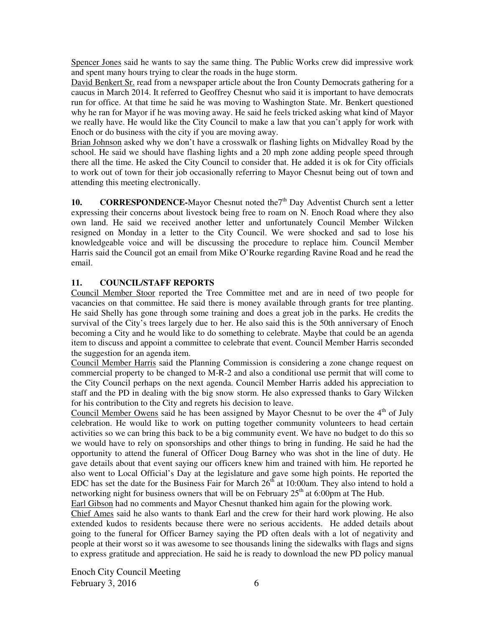Spencer Jones said he wants to say the same thing. The Public Works crew did impressive work and spent many hours trying to clear the roads in the huge storm.

David Benkert Sr. read from a newspaper article about the Iron County Democrats gathering for a caucus in March 2014. It referred to Geoffrey Chesnut who said it is important to have democrats run for office. At that time he said he was moving to Washington State. Mr. Benkert questioned why he ran for Mayor if he was moving away. He said he feels tricked asking what kind of Mayor we really have. He would like the City Council to make a law that you can't apply for work with Enoch or do business with the city if you are moving away.

Brian Johnson asked why we don't have a crosswalk or flashing lights on Midvalley Road by the school. He said we should have flashing lights and a 20 mph zone adding people speed through there all the time. He asked the City Council to consider that. He added it is ok for City officials to work out of town for their job occasionally referring to Mayor Chesnut being out of town and attending this meeting electronically.

**10. CORRESPONDENCE-Mayor Chesnut noted the<sup>7th</sup> Day Adventist Church sent a letter** expressing their concerns about livestock being free to roam on N. Enoch Road where they also own land. He said we received another letter and unfortunately Council Member Wilcken resigned on Monday in a letter to the City Council. We were shocked and sad to lose his knowledgeable voice and will be discussing the procedure to replace him. Council Member Harris said the Council got an email from Mike O'Rourke regarding Ravine Road and he read the email.

# **11. COUNCIL/STAFF REPORTS**

Council Member Stoor reported the Tree Committee met and are in need of two people for vacancies on that committee. He said there is money available through grants for tree planting. He said Shelly has gone through some training and does a great job in the parks. He credits the survival of the City's trees largely due to her. He also said this is the 50th anniversary of Enoch becoming a City and he would like to do something to celebrate. Maybe that could be an agenda item to discuss and appoint a committee to celebrate that event. Council Member Harris seconded the suggestion for an agenda item.

Council Member Harris said the Planning Commission is considering a zone change request on commercial property to be changed to M-R-2 and also a conditional use permit that will come to the City Council perhaps on the next agenda. Council Member Harris added his appreciation to staff and the PD in dealing with the big snow storm. He also expressed thanks to Gary Wilcken for his contribution to the City and regrets his decision to leave.

Council Member Owens said he has been assigned by Mayor Chesnut to be over the  $4<sup>th</sup>$  of July celebration. He would like to work on putting together community volunteers to head certain activities so we can bring this back to be a big community event. We have no budget to do this so we would have to rely on sponsorships and other things to bring in funding. He said he had the opportunity to attend the funeral of Officer Doug Barney who was shot in the line of duty. He gave details about that event saying our officers knew him and trained with him. He reported he also went to Local Official's Day at the legislature and gave some high points. He reported the EDC has set the date for the Business Fair for March  $26<sup>th</sup>$  at 10:00am. They also intend to hold a networking night for business owners that will be on February  $25<sup>th</sup>$  at 6:00pm at The Hub.

Earl Gibson had no comments and Mayor Chesnut thanked him again for the plowing work.

Chief Ames said he also wants to thank Earl and the crew for their hard work plowing. He also extended kudos to residents because there were no serious accidents. He added details about going to the funeral for Officer Barney saying the PD often deals with a lot of negativity and people at their worst so it was awesome to see thousands lining the sidewalks with flags and signs to express gratitude and appreciation. He said he is ready to download the new PD policy manual

Enoch City Council Meeting February 3, 2016  $\qquad \qquad$  6